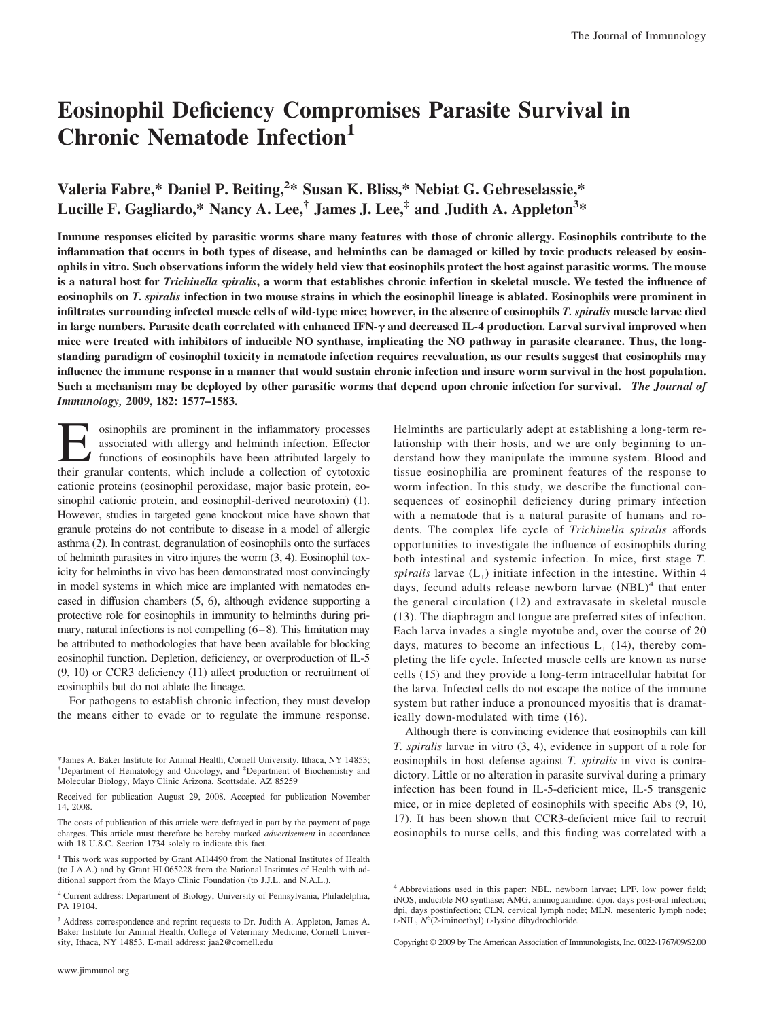# **Eosinophil Deficiency Compromises Parasite Survival in Chronic Nematode Infection<sup>1</sup>**

# Valeria Fabre,\* Daniel P. Beiting,<sup>2</sup>\* Susan K. Bliss,\* Nebiat G. Gebreselassie,\* **Lucille F. Gagliardo,\* Nancy A. Lee,† James J. Lee,‡ and Judith A. Appleton3 \***

**Immune responses elicited by parasitic worms share many features with those of chronic allergy. Eosinophils contribute to the inflammation that occurs in both types of disease, and helminths can be damaged or killed by toxic products released by eosinophils in vitro. Such observations inform the widely held view that eosinophils protect the host against parasitic worms. The mouse is a natural host for** *Trichinella spiralis***, a worm that establishes chronic infection in skeletal muscle. We tested the influence of eosinophils on** *T. spiralis* **infection in two mouse strains in which the eosinophil lineage is ablated. Eosinophils were prominent in infiltrates surrounding infected muscle cells of wild-type mice; however, in the absence of eosinophils** *T. spiralis* **muscle larvae died** in large numbers. Parasite death correlated with enhanced IFN- $\gamma$  and decreased IL-4 production. Larval survival improved when **mice were treated with inhibitors of inducible NO synthase, implicating the NO pathway in parasite clearance. Thus, the longstanding paradigm of eosinophil toxicity in nematode infection requires reevaluation, as our results suggest that eosinophils may influence the immune response in a manner that would sustain chronic infection and insure worm survival in the host population. Such a mechanism may be deployed by other parasitic worms that depend upon chronic infection for survival.** *The Journal of Immunology,* **2009, 182: 1577–1583.**

osinophils are prominent in the inflammatory processes associated with allergy and helminth infection. Effector functions of eosinophils have been attributed largely to their granular contents, which include a collection of cytotoxic cationic proteins (eosinophil peroxidase, major basic protein, eosinophil cationic protein, and eosinophil-derived neurotoxin) (1). However, studies in targeted gene knockout mice have shown that granule proteins do not contribute to disease in a model of allergic asthma (2). In contrast, degranulation of eosinophils onto the surfaces of helminth parasites in vitro injures the worm (3, 4). Eosinophil toxicity for helminths in vivo has been demonstrated most convincingly in model systems in which mice are implanted with nematodes encased in diffusion chambers (5, 6), although evidence supporting a protective role for eosinophils in immunity to helminths during primary, natural infections is not compelling  $(6-8)$ . This limitation may be attributed to methodologies that have been available for blocking eosinophil function. Depletion, deficiency, or overproduction of IL-5 (9, 10) or CCR3 deficiency (11) affect production or recruitment of eosinophils but do not ablate the lineage.

For pathogens to establish chronic infection, they must develop the means either to evade or to regulate the immune response.

www.jimmunol.org

Helminths are particularly adept at establishing a long-term relationship with their hosts, and we are only beginning to understand how they manipulate the immune system. Blood and tissue eosinophilia are prominent features of the response to worm infection. In this study, we describe the functional consequences of eosinophil deficiency during primary infection with a nematode that is a natural parasite of humans and rodents. The complex life cycle of *Trichinella spiralis* affords opportunities to investigate the influence of eosinophils during both intestinal and systemic infection. In mice, first stage *T. spiralis* larvae  $(L_1)$  initiate infection in the intestine. Within 4 days, fecund adults release newborn larvae  $(NBL)^4$  that enter the general circulation (12) and extravasate in skeletal muscle (13). The diaphragm and tongue are preferred sites of infection. Each larva invades a single myotube and, over the course of 20 days, matures to become an infectious  $L_1$  (14), thereby completing the life cycle. Infected muscle cells are known as nurse cells (15) and they provide a long-term intracellular habitat for the larva. Infected cells do not escape the notice of the immune system but rather induce a pronounced myositis that is dramatically down-modulated with time (16).

Although there is convincing evidence that eosinophils can kill *T. spiralis* larvae in vitro (3, 4), evidence in support of a role for eosinophils in host defense against *T. spiralis* in vivo is contradictory. Little or no alteration in parasite survival during a primary infection has been found in IL-5-deficient mice, IL-5 transgenic mice, or in mice depleted of eosinophils with specific Abs (9, 10, 17). It has been shown that CCR3-deficient mice fail to recruit eosinophils to nurse cells, and this finding was correlated with a

<sup>\*</sup>James A. Baker Institute for Animal Health, Cornell University, Ithaca, NY 14853; † Department of Hematology and Oncology, and ‡ Department of Biochemistry and Molecular Biology, Mayo Clinic Arizona, Scottsdale, AZ 85259

Received for publication August 29, 2008. Accepted for publication November 14, 2008.

The costs of publication of this article were defrayed in part by the payment of page charges. This article must therefore be hereby marked *advertisement* in accordance with 18 U.S.C. Section 1734 solely to indicate this fact.

<sup>&</sup>lt;sup>1</sup> This work was supported by Grant AI14490 from the National Institutes of Health (to J.A.A.) and by Grant HL065228 from the National Institutes of Health with additional support from the Mayo Clinic Foundation (to J.J.L. and N.A.L.).

<sup>2</sup> Current address: Department of Biology, University of Pennsylvania, Philadelphia, PA 19104.

<sup>&</sup>lt;sup>3</sup> Address correspondence and reprint requests to Dr. Judith A. Appleton, James A. Baker Institute for Animal Health, College of Veterinary Medicine, Cornell University, Ithaca, NY 14853. E-mail address: jaa2@cornell.edu

<sup>4</sup> Abbreviations used in this paper: NBL, newborn larvae; LPF, low power field; iNOS, inducible NO synthase; AMG, aminoguanidine; dpoi, days post-oral infection; dpi, days postinfection; CLN, cervical lymph node; MLN, mesenteric lymph node; L-NIL, *N*<sup>6</sup> (2-iminoethyl) L-lysine dihydrochloride.

Copyright © 2009 by The American Association of Immunologists, Inc. 0022-1767/09/\$2.00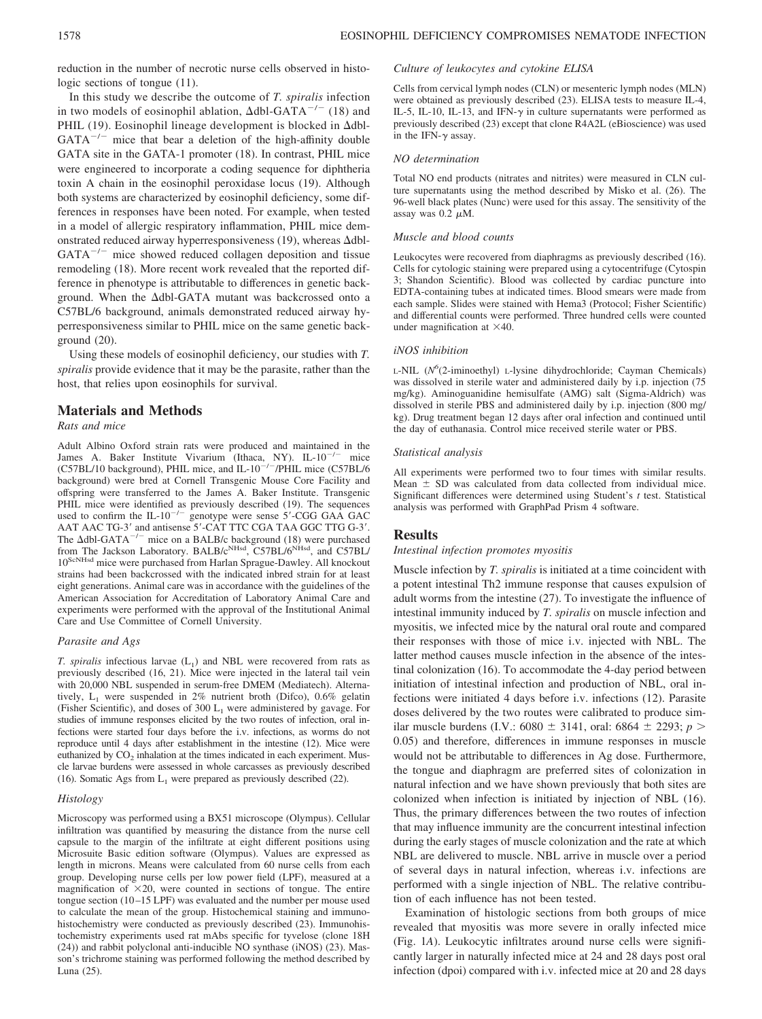reduction in the number of necrotic nurse cells observed in histologic sections of tongue (11).

In this study we describe the outcome of *T. spiralis* infection in two models of eosinophil ablation,  $\Delta$ dbl-GATA<sup>-/-</sup> (18) and PHIL (19). Eosinophil lineage development is blocked in  $\Delta$ dbl- $GATA^{-/-}$  mice that bear a deletion of the high-affinity double GATA site in the GATA-1 promoter (18). In contrast, PHIL mice were engineered to incorporate a coding sequence for diphtheria toxin A chain in the eosinophil peroxidase locus (19). Although both systems are characterized by eosinophil deficiency, some differences in responses have been noted. For example, when tested in a model of allergic respiratory inflammation, PHIL mice demonstrated reduced airway hyperresponsiveness (19), whereas  $\Delta$ dbl- $GATA^{-/-}$  mice showed reduced collagen deposition and tissue remodeling (18). More recent work revealed that the reported difference in phenotype is attributable to differences in genetic background. When the  $\Delta$ dbl-GATA mutant was backcrossed onto a C57BL/6 background, animals demonstrated reduced airway hyperresponsiveness similar to PHIL mice on the same genetic background (20).

Using these models of eosinophil deficiency, our studies with *T. spiralis* provide evidence that it may be the parasite, rather than the host, that relies upon eosinophils for survival.

# **Materials and Methods**

# *Rats and mice*

Adult Albino Oxford strain rats were produced and maintained in the James A. Baker Institute Vivarium (Ithaca, NY). IL-10<sup>-/-</sup> mice (C57BL/10 background), PHIL mice, and IL-10<sup>-/-</sup>/PHIL mice (C57BL/6 background) were bred at Cornell Transgenic Mouse Core Facility and offspring were transferred to the James A. Baker Institute. Transgenic PHIL mice were identified as previously described (19). The sequences used to confirm the  $IL-10^{-/-}$  genotype were sense 5'-CGG GAA GAC AAT AAC TG-3' and antisense 5'-CAT TTC CGA TAA GGC TTG G-3'. The  $\Delta$ dbl-GATA<sup>-/-</sup> mice on a BALB/c background (18) were purchased from The Jackson Laboratory. BALB/c<sup>NHsd</sup>, C57BL/6<sup>NHsd</sup>, and C57BL/ 10ScNHsd mice were purchased from Harlan Sprague-Dawley. All knockout strains had been backcrossed with the indicated inbred strain for at least eight generations. Animal care was in accordance with the guidelines of the American Association for Accreditation of Laboratory Animal Care and experiments were performed with the approval of the Institutional Animal Care and Use Committee of Cornell University.

#### *Parasite and Ags*

*T. spiralis* infectious larvae  $(L_1)$  and NBL were recovered from rats as previously described (16, 21). Mice were injected in the lateral tail vein with 20,000 NBL suspended in serum-free DMEM (Mediatech). Alternatively,  $L_1$  were suspended in 2% nutrient broth (Difco), 0.6% gelatin (Fisher Scientific), and doses of 300  $L_1$  were administered by gavage. For studies of immune responses elicited by the two routes of infection, oral infections were started four days before the i.v. infections, as worms do not reproduce until 4 days after establishment in the intestine (12). Mice were euthanized by  $CO<sub>2</sub>$  inhalation at the times indicated in each experiment. Muscle larvae burdens were assessed in whole carcasses as previously described (16). Somatic Ags from  $L_1$  were prepared as previously described (22).

#### *Histology*

Microscopy was performed using a BX51 microscope (Olympus). Cellular infiltration was quantified by measuring the distance from the nurse cell capsule to the margin of the infiltrate at eight different positions using Microsuite Basic edition software (Olympus). Values are expressed as length in microns. Means were calculated from 60 nurse cells from each group. Developing nurse cells per low power field (LPF), measured at a magnification of  $\times 20$ , were counted in sections of tongue. The entire tongue section (10 –15 LPF) was evaluated and the number per mouse used to calculate the mean of the group. Histochemical staining and immunohistochemistry were conducted as previously described (23). Immunohistochemistry experiments used rat mAbs specific for tyvelose (clone 18H (24)) and rabbit polyclonal anti-inducible NO synthase (iNOS) (23). Masson's trichrome staining was performed following the method described by Luna (25).

#### *Culture of leukocytes and cytokine ELISA*

Cells from cervical lymph nodes (CLN) or mesenteric lymph nodes (MLN) were obtained as previously described (23). ELISA tests to measure IL-4, IL-5, IL-10, IL-13, and IFN- $\gamma$  in culture supernatants were performed as previously described (23) except that clone R4A2L (eBioscience) was used in the IFN- $\gamma$  assay.

#### *NO determination*

Total NO end products (nitrates and nitrites) were measured in CLN culture supernatants using the method described by Misko et al. (26). The 96-well black plates (Nunc) were used for this assay. The sensitivity of the assay was  $0.2 \mu M$ .

#### *Muscle and blood counts*

Leukocytes were recovered from diaphragms as previously described (16). Cells for cytologic staining were prepared using a cytocentrifuge (Cytospin 3; Shandon Scientific). Blood was collected by cardiac puncture into EDTA-containing tubes at indicated times. Blood smears were made from each sample. Slides were stained with Hema3 (Protocol; Fisher Scientific) and differential counts were performed. Three hundred cells were counted under magnification at  $\times$ 40.

#### *iNOS inhibition*

L-NIL ( $N^6$ (2-iminoethyl) L-lysine dihydrochloride; Cayman Chemicals) was dissolved in sterile water and administered daily by i.p. injection (75 mg/kg). Aminoguanidine hemisulfate (AMG) salt (Sigma-Aldrich) was dissolved in sterile PBS and administered daily by i.p. injection (800 mg/ kg). Drug treatment began 12 days after oral infection and continued until the day of euthanasia. Control mice received sterile water or PBS.

#### *Statistical analysis*

All experiments were performed two to four times with similar results. Mean  $\pm$  SD was calculated from data collected from individual mice. Significant differences were determined using Student's *t* test. Statistical analysis was performed with GraphPad Prism 4 software.

#### **Results**

#### *Intestinal infection promotes myositis*

Muscle infection by *T. spiralis* is initiated at a time coincident with a potent intestinal Th2 immune response that causes expulsion of adult worms from the intestine (27). To investigate the influence of intestinal immunity induced by *T. spiralis* on muscle infection and myositis, we infected mice by the natural oral route and compared their responses with those of mice i.v. injected with NBL. The latter method causes muscle infection in the absence of the intestinal colonization (16). To accommodate the 4-day period between initiation of intestinal infection and production of NBL, oral infections were initiated 4 days before i.v. infections (12). Parasite doses delivered by the two routes were calibrated to produce similar muscle burdens (I.V.: 6080  $\pm$  3141, oral: 6864  $\pm$  2293; *p* > 0.05) and therefore, differences in immune responses in muscle would not be attributable to differences in Ag dose. Furthermore, the tongue and diaphragm are preferred sites of colonization in natural infection and we have shown previously that both sites are colonized when infection is initiated by injection of NBL (16). Thus, the primary differences between the two routes of infection that may influence immunity are the concurrent intestinal infection during the early stages of muscle colonization and the rate at which NBL are delivered to muscle. NBL arrive in muscle over a period of several days in natural infection, whereas i.v. infections are performed with a single injection of NBL. The relative contribution of each influence has not been tested.

Examination of histologic sections from both groups of mice revealed that myositis was more severe in orally infected mice (Fig. 1*A*). Leukocytic infiltrates around nurse cells were significantly larger in naturally infected mice at 24 and 28 days post oral infection (dpoi) compared with i.v. infected mice at 20 and 28 days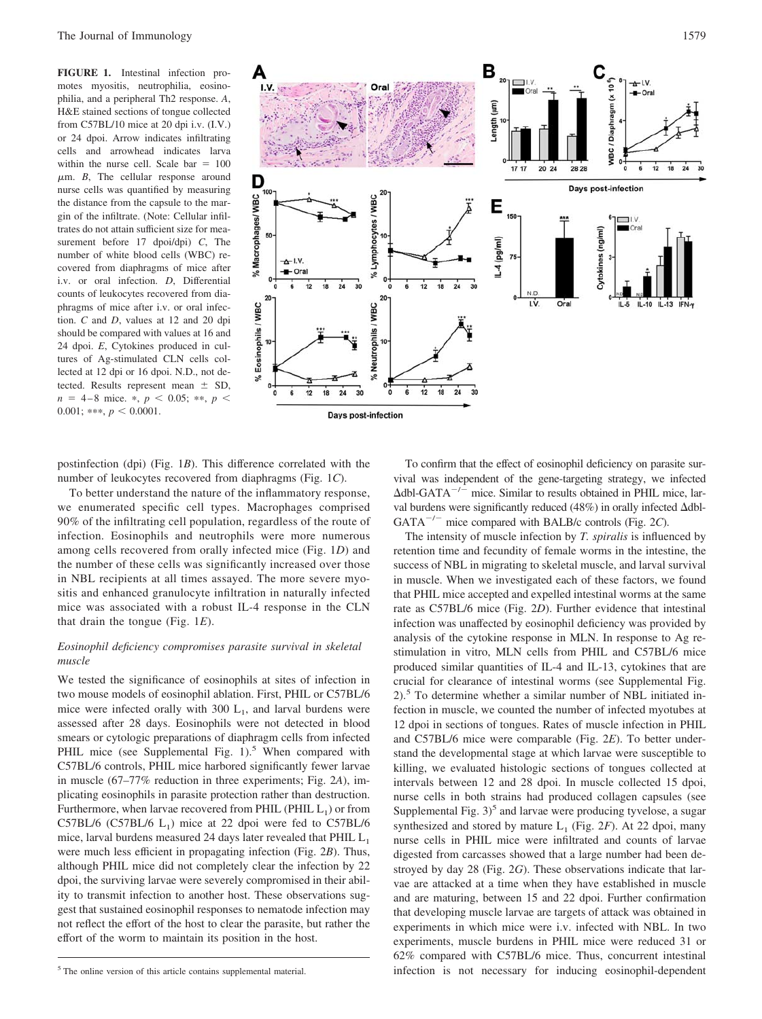**FIGURE 1.** Intestinal infection promotes myositis, neutrophilia, eosinophilia, and a peripheral Th2 response. *A*, H&E stained sections of tongue collected from C57BL/10 mice at 20 dpi i.v. (I.V.) or 24 dpoi. Arrow indicates infiltrating cells and arrowhead indicates larva within the nurse cell. Scale bar  $= 100$  $\mu$ m. *B*, The cellular response around nurse cells was quantified by measuring the distance from the capsule to the margin of the infiltrate. (Note: Cellular infiltrates do not attain sufficient size for measurement before 17 dpoi/dpi) *C*, The number of white blood cells (WBC) recovered from diaphragms of mice after i.v. or oral infection. *D*, Differential counts of leukocytes recovered from diaphragms of mice after i.v. or oral infection. *C* and *D*, values at 12 and 20 dpi should be compared with values at 16 and 24 dpoi. *E*, Cytokines produced in cultures of Ag-stimulated CLN cells collected at 12 dpi or 16 dpoi. N.D., not detected. Results represent mean  $\pm$  SD,  $n = 4 - 8$  mice. \*,  $p < 0.05$ ; \*\*,  $p <$  $0.001$ ; \*\*\*,  $p < 0.0001$ .



postinfection (dpi) (Fig. 1*B*). This difference correlated with the number of leukocytes recovered from diaphragms (Fig. 1*C*).

To better understand the nature of the inflammatory response, we enumerated specific cell types. Macrophages comprised 90% of the infiltrating cell population, regardless of the route of infection. Eosinophils and neutrophils were more numerous among cells recovered from orally infected mice (Fig. 1*D*) and the number of these cells was significantly increased over those in NBL recipients at all times assayed. The more severe myositis and enhanced granulocyte infiltration in naturally infected mice was associated with a robust IL-4 response in the CLN that drain the tongue (Fig. 1*E*).

# *Eosinophil deficiency compromises parasite survival in skeletal muscle*

We tested the significance of eosinophils at sites of infection in two mouse models of eosinophil ablation. First, PHIL or C57BL/6 mice were infected orally with 300  $L_1$ , and larval burdens were assessed after 28 days. Eosinophils were not detected in blood smears or cytologic preparations of diaphragm cells from infected PHIL mice (see Supplemental Fig.  $1$ ).<sup>5</sup> When compared with C57BL/6 controls, PHIL mice harbored significantly fewer larvae in muscle (67–77% reduction in three experiments; Fig. 2*A*), implicating eosinophils in parasite protection rather than destruction. Furthermore, when larvae recovered from PHIL (PHIL  $L_1$ ) or from C57BL/6 (C57BL/6  $L_1$ ) mice at 22 dpoi were fed to C57BL/6 mice, larval burdens measured 24 days later revealed that PHIL  $L_1$ were much less efficient in propagating infection (Fig. 2*B*). Thus, although PHIL mice did not completely clear the infection by 22 dpoi, the surviving larvae were severely compromised in their ability to transmit infection to another host. These observations suggest that sustained eosinophil responses to nematode infection may not reflect the effort of the host to clear the parasite, but rather the effort of the worm to maintain its position in the host.

To confirm that the effect of eosinophil deficiency on parasite survival was independent of the gene-targeting strategy, we infected  $\Delta$ dbl-GATA<sup>-/-</sup> mice. Similar to results obtained in PHIL mice, larval burdens were significantly reduced (48%) in orally infected  $\Delta$ dbl-GATA<sup>-/-</sup> mice compared with BALB/c controls (Fig. 2C).

The intensity of muscle infection by *T. spiralis* is influenced by retention time and fecundity of female worms in the intestine, the success of NBL in migrating to skeletal muscle, and larval survival in muscle. When we investigated each of these factors, we found that PHIL mice accepted and expelled intestinal worms at the same rate as C57BL/6 mice (Fig. 2*D*). Further evidence that intestinal infection was unaffected by eosinophil deficiency was provided by analysis of the cytokine response in MLN. In response to Ag restimulation in vitro, MLN cells from PHIL and C57BL/6 mice produced similar quantities of IL-4 and IL-13, cytokines that are crucial for clearance of intestinal worms (see Supplemental Fig.  $2)$ .<sup>5</sup> To determine whether a similar number of NBL initiated infection in muscle, we counted the number of infected myotubes at 12 dpoi in sections of tongues. Rates of muscle infection in PHIL and C57BL/6 mice were comparable (Fig. 2*E*). To better understand the developmental stage at which larvae were susceptible to killing, we evaluated histologic sections of tongues collected at intervals between 12 and 28 dpoi. In muscle collected 15 dpoi, nurse cells in both strains had produced collagen capsules (see Supplemental Fig.  $3<sup>5</sup>$  and larvae were producing tyvelose, a sugar synthesized and stored by mature  $L_1$  (Fig. 2*F*). At 22 dpoi, many nurse cells in PHIL mice were infiltrated and counts of larvae digested from carcasses showed that a large number had been destroyed by day 28 (Fig. 2*G*). These observations indicate that larvae are attacked at a time when they have established in muscle and are maturing, between 15 and 22 dpoi. Further confirmation that developing muscle larvae are targets of attack was obtained in experiments in which mice were i.v. infected with NBL. In two experiments, muscle burdens in PHIL mice were reduced 31 or 62% compared with C57BL/6 mice. Thus, concurrent intestinal <sup>5</sup> The online version of this article contains supplemental material. **Similar infection** is not necessary for inducing eosinophil-dependent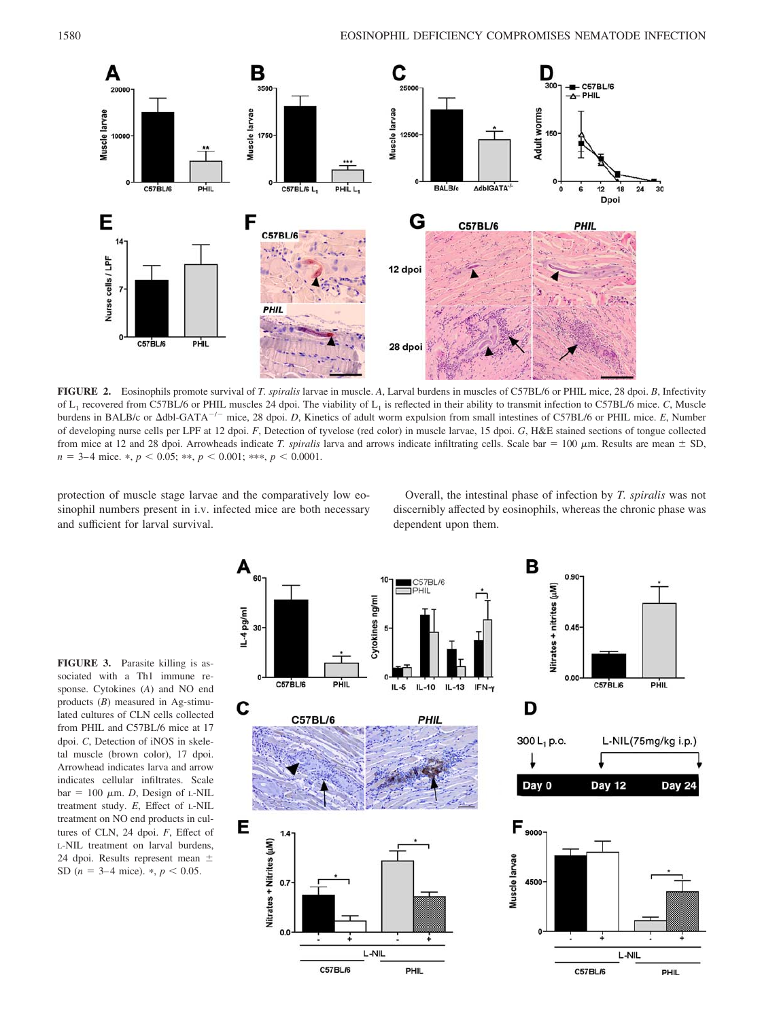

**FIGURE 2.** Eosinophils promote survival of *T. spiralis* larvae in muscle. *A*, Larval burdens in muscles of C57BL/6 or PHIL mice, 28 dpoi. *B*, Infectivity of L1 recovered from C57BL/6 or PHIL muscles 24 dpoi. The viability of L1 is reflected in their ability to transmit infection to C57BL/6 mice. *C*, Muscle burdens in BALB/c or  $\Delta$ dbl-GATA<sup>-/-</sup> mice, 28 dpoi. *D*, Kinetics of adult worm expulsion from small intestines of C57BL/6 or PHIL mice. *E*, Number of developing nurse cells per LPF at 12 dpoi. *F*, Detection of tyvelose (red color) in muscle larvae, 15 dpoi. *G*, H&E stained sections of tongue collected from mice at 12 and 28 dpoi. Arrowheads indicate *T. spiralis* larva and arrows indicate infiltrating cells. Scale bar = 100  $\mu$ m. Results are mean  $\pm$  SD,  $n = 3-4$  mice. \*,  $p < 0.05$ ; \*\*,  $p < 0.001$ ; \*\*\*,  $p < 0.0001$ .

protection of muscle stage larvae and the comparatively low eosinophil numbers present in i.v. infected mice are both necessary and sufficient for larval survival.

Overall, the intestinal phase of infection by *T. spiralis* was not discernibly affected by eosinophils, whereas the chronic phase was dependent upon them.

**FIGURE 3.** Parasite killing is associated with a Th1 immune response. Cytokines (*A*) and NO end products (*B*) measured in Ag-stimulated cultures of CLN cells collected from PHIL and C57BL/6 mice at 17 dpoi. *C*, Detection of iNOS in skeletal muscle (brown color), 17 dpoi. Arrowhead indicates larva and arrow indicates cellular infiltrates. Scale  $bar = 100 \mu m$ . *D*, Design of L-NIL treatment study. *E*, Effect of L-NIL treatment on NO end products in cultures of CLN, 24 dpoi. *F*, Effect of L-NIL treatment on larval burdens, 24 dpoi. Results represent mean  $\pm$ SD ( $n = 3-4$  mice).  $\ast$ ,  $p < 0.05$ .

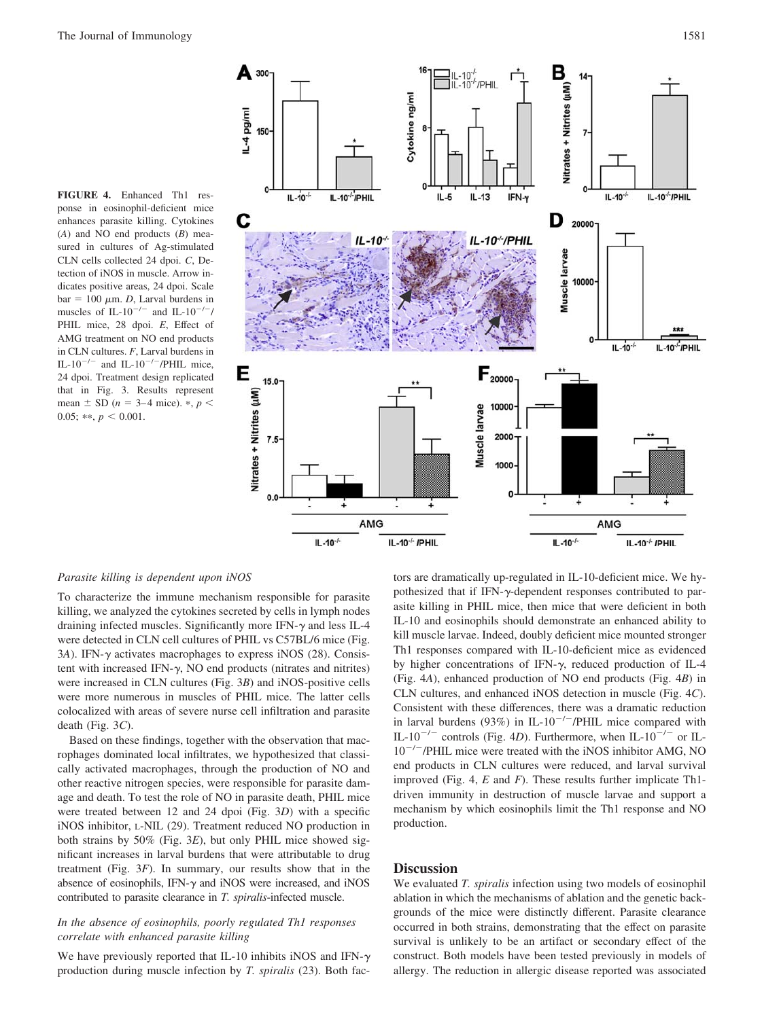**FIGURE 4.** Enhanced Th1 response in eosinophil-deficient mice enhances parasite killing. Cytokines (*A*) and NO end products (*B*) measured in cultures of Ag-stimulated CLN cells collected 24 dpoi. *C*, Detection of iNOS in muscle. Arrow indicates positive areas, 24 dpoi. Scale  $bar = 100 \mu m$ . *D*, Larval burdens in muscles of IL-10<sup>-/-</sup> and IL-10<sup>-/-</sup>/ PHIL mice, 28 dpoi. E, Effect of AMG treatment on NO end products in CLN cultures. *F*, Larval burdens in IL-10<sup>-/-</sup> and IL-10<sup>-/-</sup>/PHIL mice, 24 dpoi. Treatment design replicated that in Fig. 3. Results represent mean  $\pm$  SD ( $n = 3-4$  mice).  $\ast$ ,  $p <$ 0.05; \*\*,  $p < 0.001$ .



# *Parasite killing is dependent upon iNOS*

To characterize the immune mechanism responsible for parasite killing, we analyzed the cytokines secreted by cells in lymph nodes draining infected muscles. Significantly more IFN- $\gamma$  and less IL-4 were detected in CLN cell cultures of PHIL vs C57BL/6 mice (Fig. 3A). IFN- $\gamma$  activates macrophages to express iNOS (28). Consistent with increased IFN- $\gamma$ , NO end products (nitrates and nitrites) were increased in CLN cultures (Fig. 3*B*) and iNOS-positive cells were more numerous in muscles of PHIL mice. The latter cells colocalized with areas of severe nurse cell infiltration and parasite death (Fig. 3*C*).

Based on these findings, together with the observation that macrophages dominated local infiltrates, we hypothesized that classically activated macrophages, through the production of NO and other reactive nitrogen species, were responsible for parasite damage and death. To test the role of NO in parasite death, PHIL mice were treated between 12 and 24 dpoi (Fig. 3*D*) with a specific iNOS inhibitor, L-NIL (29). Treatment reduced NO production in both strains by 50% (Fig. 3*E*), but only PHIL mice showed significant increases in larval burdens that were attributable to drug treatment (Fig. 3*F*). In summary, our results show that in the absence of eosinophils, IFN- $\gamma$  and iNOS were increased, and iNOS contributed to parasite clearance in *T. spiralis*-infected muscle.

## *In the absence of eosinophils, poorly regulated Th1 responses correlate with enhanced parasite killing*

We have previously reported that IL-10 inhibits iNOS and IFN- $\gamma$ production during muscle infection by *T. spiralis* (23). Both factors are dramatically up-regulated in IL-10-deficient mice. We hypothesized that if IFN- $\gamma$ -dependent responses contributed to parasite killing in PHIL mice, then mice that were deficient in both IL-10 and eosinophils should demonstrate an enhanced ability to kill muscle larvae. Indeed, doubly deficient mice mounted stronger Th1 responses compared with IL-10-deficient mice as evidenced by higher concentrations of IFN- $\gamma$ , reduced production of IL-4 (Fig. 4*A*), enhanced production of NO end products (Fig. 4*B*) in CLN cultures, and enhanced iNOS detection in muscle (Fig. 4*C*). Consistent with these differences, there was a dramatic reduction in larval burdens (93%) in IL-10<sup>-/-</sup>/PHIL mice compared with IL-10<sup>-/-</sup> controls (Fig. 4D). Furthermore, when IL-10<sup>-/-</sup> or IL-10<sup>-/-</sup>/PHIL mice were treated with the iNOS inhibitor AMG, NO end products in CLN cultures were reduced, and larval survival improved (Fig. 4, *E* and *F*). These results further implicate Th1 driven immunity in destruction of muscle larvae and support a mechanism by which eosinophils limit the Th1 response and NO production.

# **Discussion**

We evaluated *T. spiralis* infection using two models of eosinophil ablation in which the mechanisms of ablation and the genetic backgrounds of the mice were distinctly different. Parasite clearance occurred in both strains, demonstrating that the effect on parasite survival is unlikely to be an artifact or secondary effect of the construct. Both models have been tested previously in models of allergy. The reduction in allergic disease reported was associated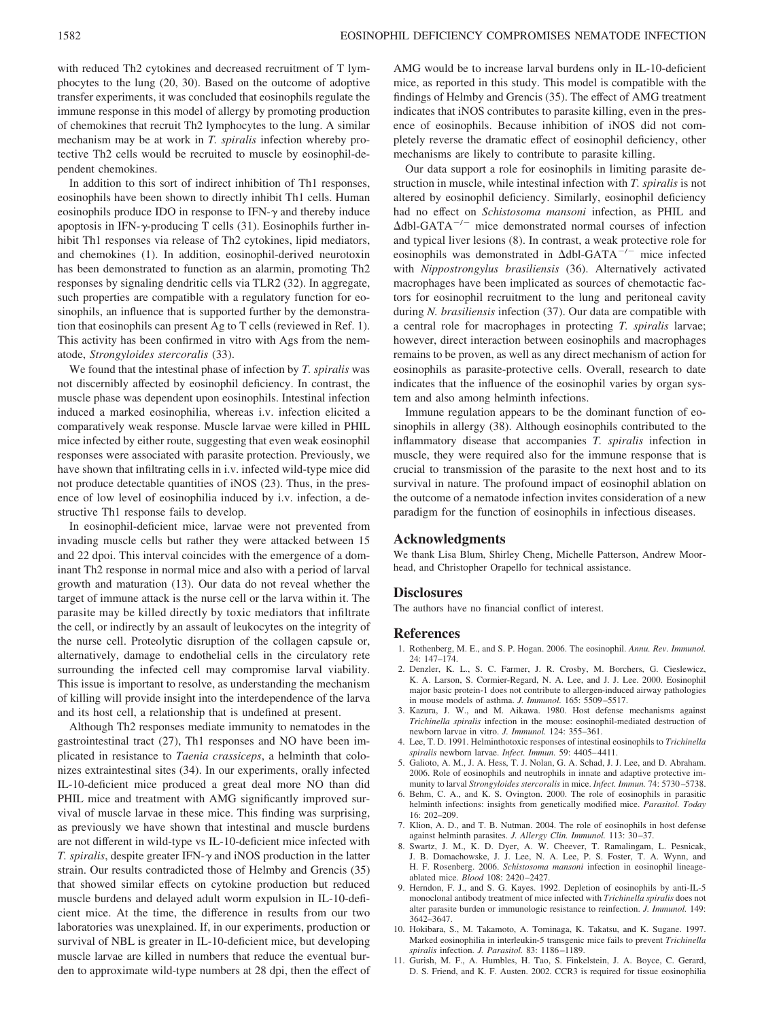with reduced Th2 cytokines and decreased recruitment of T lymphocytes to the lung (20, 30). Based on the outcome of adoptive transfer experiments, it was concluded that eosinophils regulate the immune response in this model of allergy by promoting production of chemokines that recruit Th2 lymphocytes to the lung. A similar mechanism may be at work in *T. spiralis* infection whereby protective Th2 cells would be recruited to muscle by eosinophil-dependent chemokines.

In addition to this sort of indirect inhibition of Th1 responses, eosinophils have been shown to directly inhibit Th1 cells. Human eosinophils produce IDO in response to IFN- $\gamma$  and thereby induce apoptosis in IFN- $\gamma$ -producing T cells (31). Eosinophils further inhibit Th1 responses via release of Th2 cytokines, lipid mediators, and chemokines (1). In addition, eosinophil-derived neurotoxin has been demonstrated to function as an alarmin, promoting Th2 responses by signaling dendritic cells via TLR2 (32). In aggregate, such properties are compatible with a regulatory function for eosinophils, an influence that is supported further by the demonstration that eosinophils can present Ag to T cells (reviewed in Ref. 1). This activity has been confirmed in vitro with Ags from the nematode, *Strongyloides stercoralis* (33).

We found that the intestinal phase of infection by *T. spiralis* was not discernibly affected by eosinophil deficiency. In contrast, the muscle phase was dependent upon eosinophils. Intestinal infection induced a marked eosinophilia, whereas i.v. infection elicited a comparatively weak response. Muscle larvae were killed in PHIL mice infected by either route, suggesting that even weak eosinophil responses were associated with parasite protection. Previously, we have shown that infiltrating cells in i.v. infected wild-type mice did not produce detectable quantities of iNOS (23). Thus, in the presence of low level of eosinophilia induced by i.v. infection, a destructive Th1 response fails to develop.

In eosinophil-deficient mice, larvae were not prevented from invading muscle cells but rather they were attacked between 15 and 22 dpoi. This interval coincides with the emergence of a dominant Th2 response in normal mice and also with a period of larval growth and maturation (13). Our data do not reveal whether the target of immune attack is the nurse cell or the larva within it. The parasite may be killed directly by toxic mediators that infiltrate the cell, or indirectly by an assault of leukocytes on the integrity of the nurse cell. Proteolytic disruption of the collagen capsule or, alternatively, damage to endothelial cells in the circulatory rete surrounding the infected cell may compromise larval viability. This issue is important to resolve, as understanding the mechanism of killing will provide insight into the interdependence of the larva and its host cell, a relationship that is undefined at present.

Although Th2 responses mediate immunity to nematodes in the gastrointestinal tract (27), Th1 responses and NO have been implicated in resistance to *Taenia crassiceps*, a helminth that colonizes extraintestinal sites (34). In our experiments, orally infected IL-10-deficient mice produced a great deal more NO than did PHIL mice and treatment with AMG significantly improved survival of muscle larvae in these mice. This finding was surprising, as previously we have shown that intestinal and muscle burdens are not different in wild-type vs IL-10-deficient mice infected with *T. spiralis*, despite greater IFN- $\gamma$  and iNOS production in the latter strain. Our results contradicted those of Helmby and Grencis (35) that showed similar effects on cytokine production but reduced muscle burdens and delayed adult worm expulsion in IL-10-deficient mice. At the time, the difference in results from our two laboratories was unexplained. If, in our experiments, production or survival of NBL is greater in IL-10-deficient mice, but developing muscle larvae are killed in numbers that reduce the eventual burden to approximate wild-type numbers at 28 dpi, then the effect of AMG would be to increase larval burdens only in IL-10-deficient mice, as reported in this study. This model is compatible with the findings of Helmby and Grencis (35). The effect of AMG treatment indicates that iNOS contributes to parasite killing, even in the presence of eosinophils. Because inhibition of iNOS did not completely reverse the dramatic effect of eosinophil deficiency, other mechanisms are likely to contribute to parasite killing.

Our data support a role for eosinophils in limiting parasite destruction in muscle, while intestinal infection with *T. spiralis* is not altered by eosinophil deficiency. Similarly, eosinophil deficiency had no effect on *Schistosoma mansoni* infection, as PHIL and  $\Delta$ dbl-GATA<sup>-/-</sup> mice demonstrated normal courses of infection and typical liver lesions (8). In contrast, a weak protective role for eosinophils was demonstrated in  $\Delta$ dbl-GATA<sup>-/-</sup> mice infected with *Nippostrongylus brasiliensis* (36). Alternatively activated macrophages have been implicated as sources of chemotactic factors for eosinophil recruitment to the lung and peritoneal cavity during *N. brasiliensis* infection (37). Our data are compatible with a central role for macrophages in protecting *T. spiralis* larvae; however, direct interaction between eosinophils and macrophages remains to be proven, as well as any direct mechanism of action for eosinophils as parasite-protective cells. Overall, research to date indicates that the influence of the eosinophil varies by organ system and also among helminth infections.

Immune regulation appears to be the dominant function of eosinophils in allergy (38). Although eosinophils contributed to the inflammatory disease that accompanies *T. spiralis* infection in muscle, they were required also for the immune response that is crucial to transmission of the parasite to the next host and to its survival in nature. The profound impact of eosinophil ablation on the outcome of a nematode infection invites consideration of a new paradigm for the function of eosinophils in infectious diseases.

#### **Acknowledgments**

We thank Lisa Blum, Shirley Cheng, Michelle Patterson, Andrew Moorhead, and Christopher Orapello for technical assistance.

### **Disclosures**

The authors have no financial conflict of interest.

#### **References**

- 1. Rothenberg, M. E., and S. P. Hogan. 2006. The eosinophil. *Annu. Rev. Immunol.* 24: 147–174.
- 2. Denzler, K. L., S. C. Farmer, J. R. Crosby, M. Borchers, G. Cieslewicz, K. A. Larson, S. Cormier-Regard, N. A. Lee, and J. J. Lee. 2000. Eosinophil major basic protein-1 does not contribute to allergen-induced airway pathologies in mouse models of asthma. *J. Immunol.* 165: 5509 –5517.
- 3. Kazura, J. W., and M. Aikawa. 1980. Host defense mechanisms against *Trichinella spiralis* infection in the mouse: eosinophil-mediated destruction of newborn larvae in vitro. *J. Immunol.* 124: 355–361.
- 4. Lee, T. D. 1991. Helminthotoxic responses of intestinal eosinophils to *Trichinella spiralis* newborn larvae. *Infect. Immun.* 59: 4405– 4411.
- 5. Galioto, A. M., J. A. Hess, T. J. Nolan, G. A. Schad, J. J. Lee, and D. Abraham. 2006. Role of eosinophils and neutrophils in innate and adaptive protective immunity to larval *Strongyloides stercoralis* in mice. *Infect. Immun.* 74: 5730 –5738.
- 6. Behm, C. A., and K. S. Ovington. 2000. The role of eosinophils in parasitic helminth infections: insights from genetically modified mice. *Parasitol. Today* 16: 202–209.
- 7. Klion, A. D., and T. B. Nutman. 2004. The role of eosinophils in host defense against helminth parasites. *J. Allergy Clin. Immunol.* 113: 30-37.
- 8. Swartz, J. M., K. D. Dyer, A. W. Cheever, T. Ramalingam, L. Pesnicak, J. B. Domachowske, J. J. Lee, N. A. Lee, P. S. Foster, T. A. Wynn, and H. F. Rosenberg. 2006. *Schistosoma mansoni* infection in eosinophil lineageablated mice. *Blood* 108: 2420 –2427.
- 9. Herndon, F. J., and S. G. Kayes. 1992. Depletion of eosinophils by anti-IL-5 monoclonal antibody treatment of mice infected with *Trichinella spiralis* does not alter parasite burden or immunologic resistance to reinfection. *J. Immunol.* 149: 3642–3647.
- 10. Hokibara, S., M. Takamoto, A. Tominaga, K. Takatsu, and K. Sugane. 1997. Marked eosinophilia in interleukin-5 transgenic mice fails to prevent *Trichinella spiralis* infection. *J. Parasitol.* 83: 1186 –1189.
- 11. Gurish, M. F., A. Humbles, H. Tao, S. Finkelstein, J. A. Boyce, C. Gerard, D. S. Friend, and K. F. Austen. 2002. CCR3 is required for tissue eosinophilia